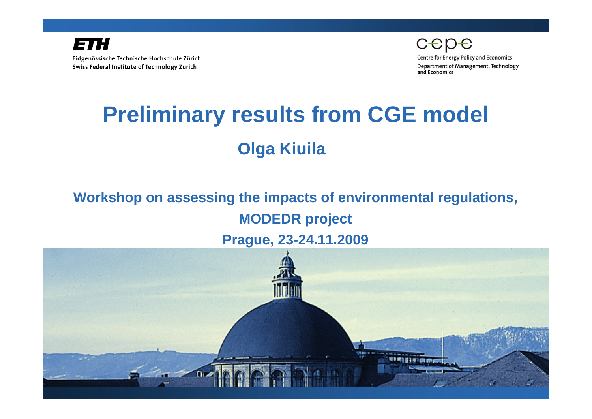

cepe

**Centre for Energy Policy and Economics** Department of Management, Technology and Economics

# **Preliminary results from CGE model Olga Kiuila**

### **Workshop on assessing the impacts of environmental regulations, MODEDR project Prague, 23-24.11.2009**

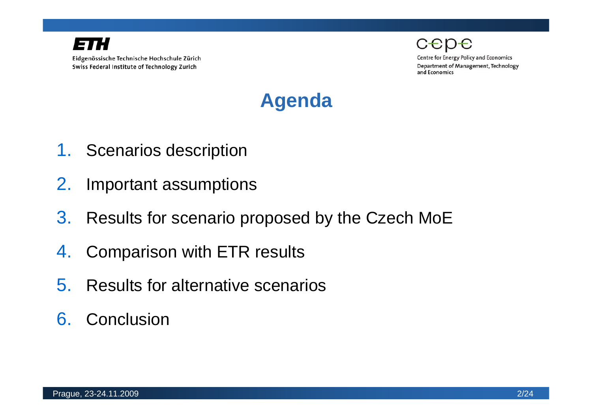

**Centre for Energy Policy and Economics** Department of Management, Technology and Economics



- 1. Scenarios description
- 2. Important assumptions
- 3. Results for scenario proposed by the Czech MoE
- 4. Comparison with ETR results
- 5. Results for alternative scenarios
- 6. Conclusion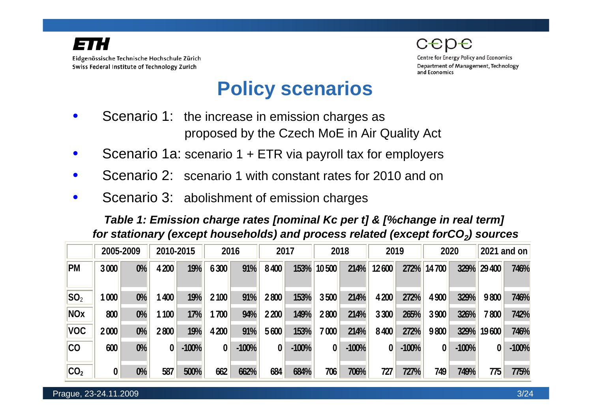



**Centre for Energy Policy and Economics** Department of Management, Technology and Economics

### **Policy scenarios**

- Scenario 1: the increase in emission charges as proposed by the Czech MoE in Air Quality Act
- Scenario 1a: scenario 1 + ETR via payroll tax for employers
- Scenario 2: scenario 1 with constant rates for 2010 and on
- Scenario 3: abolishment of emission charges

*Table 1: Emission charge rates [nominal Kc per t] & [%change in real term] for stationary (except households) and process related (except forCO<sub>2</sub>) sources* 

|                 | 2005-2009        |       | 2010-2015      |         | 2016  |         | 2017    |         | 2018             |         | 2019    |         | 2020   |         | 2021 and on |         |
|-----------------|------------------|-------|----------------|---------|-------|---------|---------|---------|------------------|---------|---------|---------|--------|---------|-------------|---------|
| <b>PM</b>       | 3 000            | $0\%$ | 4 200          | 19%     | 6 300 | 91%     | 8 4 0 0 | 153%    | 10 500           | 214%    | 12 600  | 272%    | 14 700 | 329%    | 29 400      | 746%    |
| $ SO_2 $        | 1000             | $0\%$ | 400            | 19%     | 2 100 | 91%     | 2 800   | 153%    | 3 500            | 214%    | 4 200   | 272%    | 4 900  | 329%    | 9 800       | 746%    |
| <b>NOx</b>      | 800              | $0\%$ | 100            | 17%     | 700   | 94%     | 2 2 0 0 | 149%    | 2 800            | 214%    | 3 300   | 265%    | 3 900  | 326%    | 7 800       | 742%    |
| <b>VOC</b>      | 2 0 0 0          | $0\%$ | 2 800          | 19%     | 4 200 | 91%     | 5 600   | 153%    | 7 000            | 214%    | 8 4 0 0 | 272%    | 9 800  | 329%    | 19 600      | 746%    |
| <b>CO</b>       | 600              | $0\%$ | $\overline{0}$ | $-100%$ |       | $-100%$ | 0       | $-100%$ | $\boldsymbol{0}$ | $-100%$ | 0       | $-100%$ | 0      | $-100%$ |             | $-100%$ |
| CO <sub>2</sub> | $\boldsymbol{0}$ | $0\%$ | 587            | 500%    | 662   | 662%    | 684     | 684%    | 706              | 706%    | 727     | 727%    | 749    | 749%    | 775         | 775%    |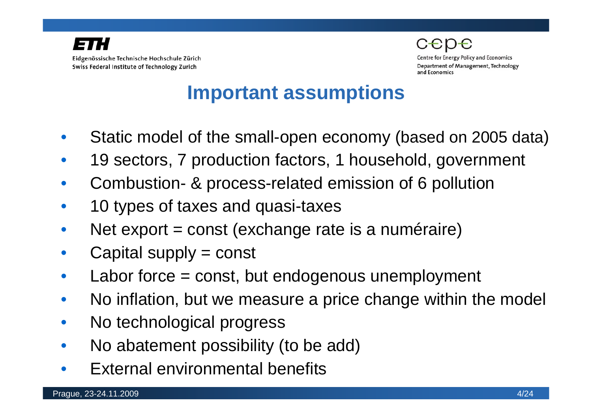



**Centre for Energy Policy and Economics** Department of Management, Technology and Economics

### **Important assumptions**

- Static model of the small-open economy (based on 2005 data)
- 19 sectors, 7 production factors, 1 household, government
- Combustion- & process-related emission of 6 pollution
- 10 types of taxes and quasi-taxes
- Net export = const (exchange rate is a numéraire)
- Capital supply = const
- Labor force  $=$  const, but endogenous unemployment
- No inflation, but we measure a price change within the model
- No technological progress
- No abatement possibility (to be add)
- External environmental benefits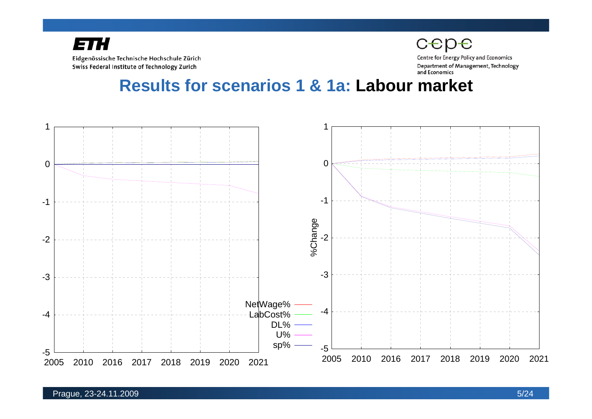

cepe **Centre for Energy Policy and Economics** Department of Management, Technology and Economics

**Results for scenarios 1 & 1a: Labour market** 

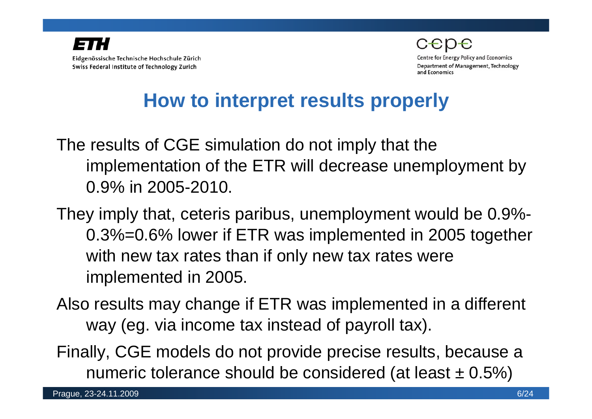

**Centre for Energy Policy and Economics** Department of Management, Technology and Economics

## **How to interpret results properly**

The results of CGE simulation do not imply that the implementation of the ETR will decrease unemployment by 0.9% in 2005-2010.

They imply that, ceteris paribus, unemployment would be 0.9%- 0.3%=0.6% lower if ETR was implemented in 2005 together with new tax rates than if only new tax rates were implemented in 2005.

Also results may change if ETR was implemented in a different way (eg. via income tax instead of payroll tax).

Finally, CGE models do not provide precise results, because a numeric tolerance should be considered (at least  $\pm$  0.5%)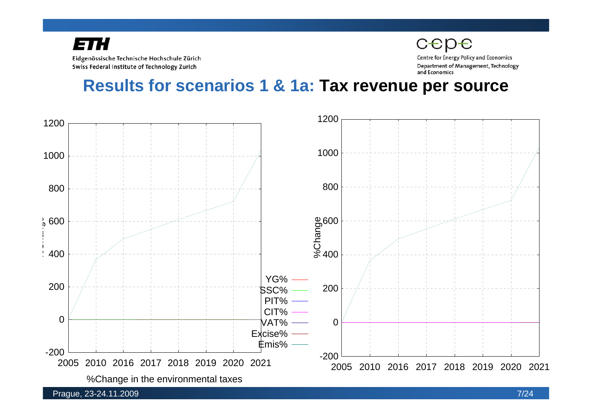Eidgenössische Technische Hochschule Zürich Swiss Federal Institute of Technology Zurich

cepe **Centre for Energy Policy and Economics** Department of Management, Technology and Economics

**Results for scenarios 1 & 1a: Tax revenue per source**

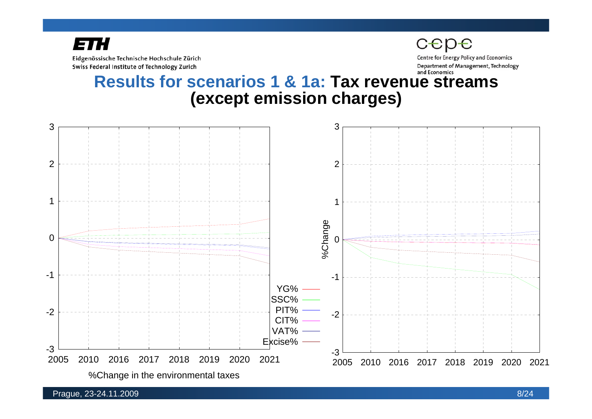

Eidgenössische Technische Hochschule Zürich Swiss Federal Institute of Technology Zurich

Department of Management, Technology and Economics

**Centre for Energy Policy and Economics** 

#### **Results for scenarios 1 & 1a: Tax revenue streams (except emission charges)**

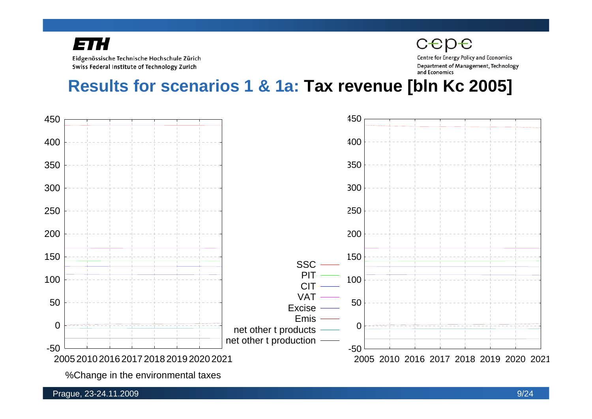Eidgenössische Technische Hochschule Zürich Swiss Federal Institute of Technology Zurich

cepe

**Centre for Energy Policy and Economics** Department of Management, Technology and Economics

**Results for scenarios 1 & 1a: Tax revenue [bln Kc 2005]**



%Change in the environmental taxes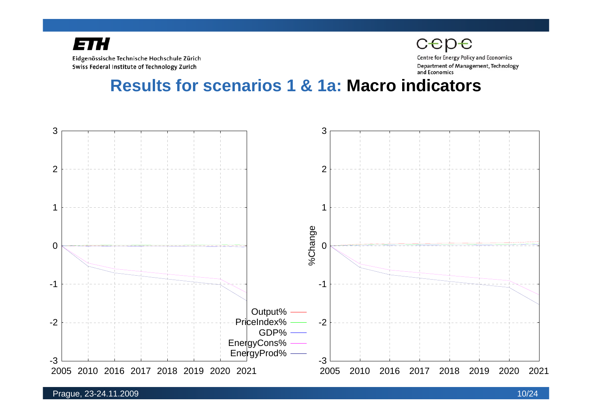

cepe

**Centre for Energy Policy and Economics** Department of Management, Technology and Economics

#### **Results for scenarios 1 & 1a: Macro indicators**



#### Prague, 23-24.11.2009 10/24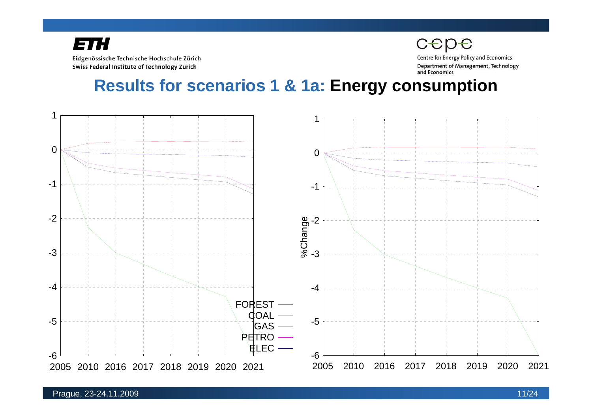Eidgenössische Technische Hochschule Zürich Swiss Federal Institute of Technology Zurich

**Centre for Energy Policy and Economics** Department of Management, Technology and Economics

cepe

#### **Results for scenarios 1 & 1a: Energy consumption**

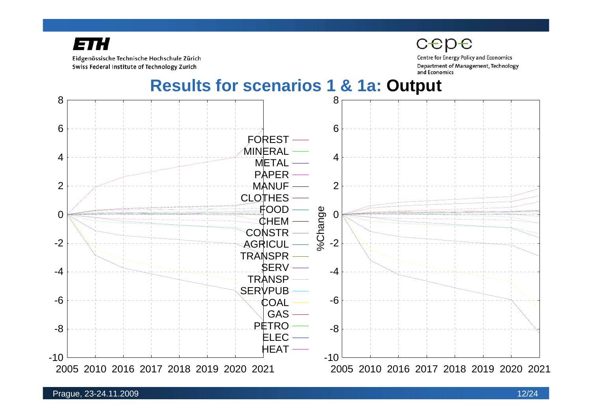

Eidgenössische Technische Hochschule Zürich Swiss Federal Institute of Technology Zurich

**Centre for Energy Policy and Economics** Department of Management, Technology and Economics

**Results for scenarios 1 & 1a: Output**

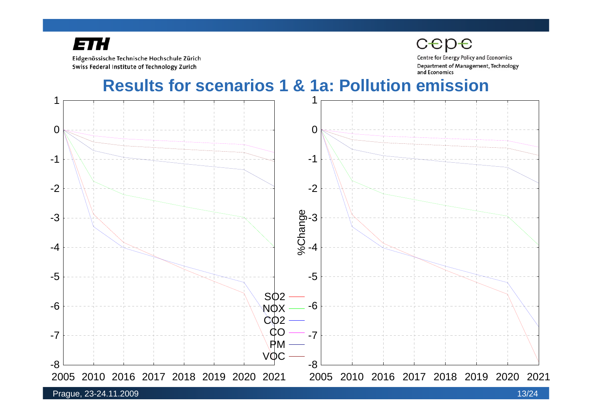

Eidgenössische Technische Hochschule Zürich Swiss Federal Institute of Technology Zurich

**Centre for Energy Policy and Economics** Department of Management, Technology and Economics

#### **Results for scenarios 1 & 1a: Pollution emission**

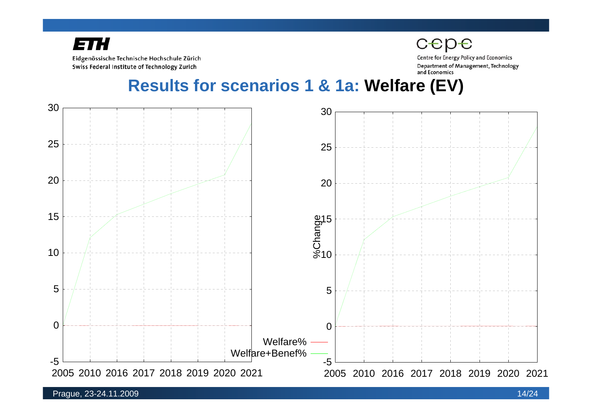

Eidgenössische Technische Hochschule Zürich Swiss Federal Institute of Technology Zurich

**Centre for Energy Policy and Economics** Department of Management, Technology and Economics

**Results for scenarios 1 & 1a: Welfare (EV)** 

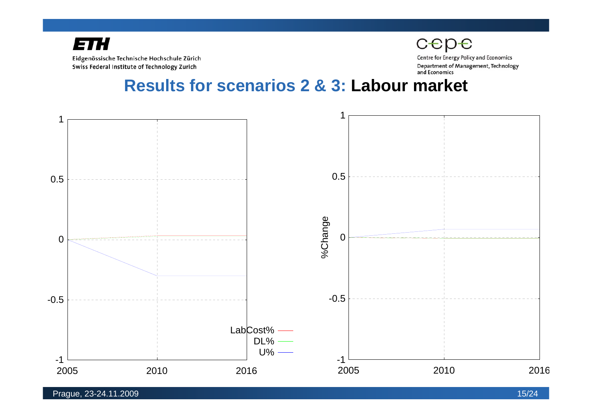

cepe

**Centre for Energy Policy and Economics** Department of Management, Technology and Economics

**Results for scenarios 2 & 3: Labour market**

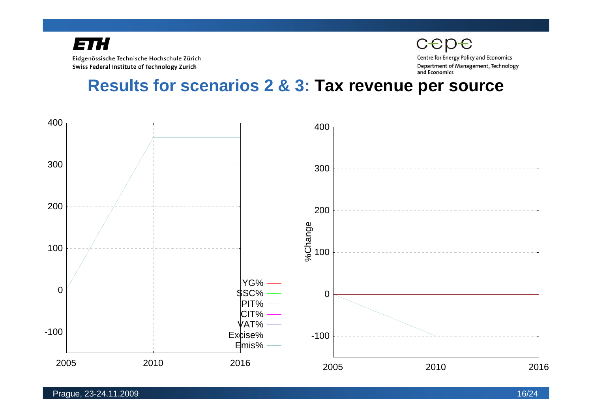Eidgenössische Technische Hochschule Zürich Swiss Federal Institute of Technology Zurich

cepe **Centre for Energy Policy and Economics** Department of Management, Technology and Economics

**Results for scenarios 2 & 3: Tax revenue per source**

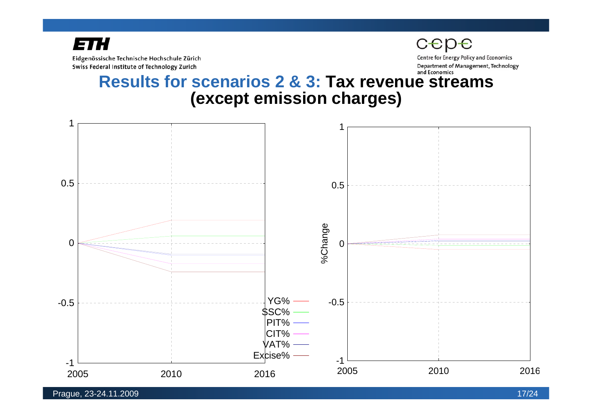

Eidgenössische Technische Hochschule Zürich Swiss Federal Institute of Technology Zurich

**Centre for Energy Policy and Economics** Department of Management, Technology and Economics

#### **Results for scenarios 2 & 3: Tax revenue streams (except emission charges)**



Prague, 23-24.11.2009 17/24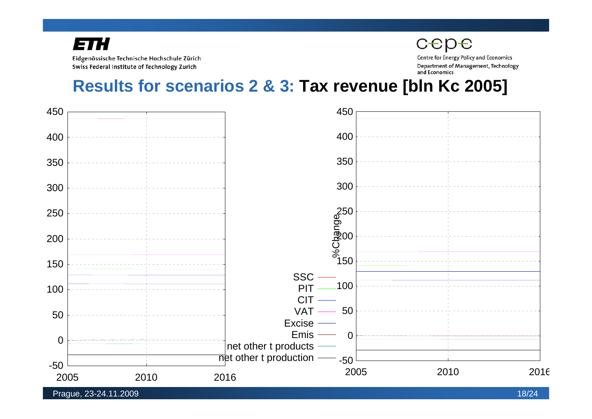Eidgenössische Technische Hochschule Zürich Swiss Federal Institute of Technology Zurich

**Centre for Energy Policy and Economics** Department of Management, Technology and Economics

cepe

#### **Results for scenarios 2 & 3: Tax revenue [bln Kc 2005]**

![](_page_17_Figure_4.jpeg)

Prague, 23-24.11.2009 18/24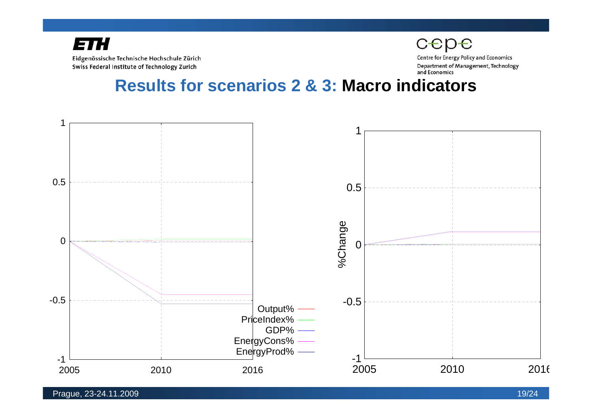![](_page_18_Picture_0.jpeg)

cepe **Centre for Energy Policy and Economics** Department of Management, Technology and Economics

#### **Results for scenarios 2 & 3: Macro indicators**

![](_page_18_Figure_4.jpeg)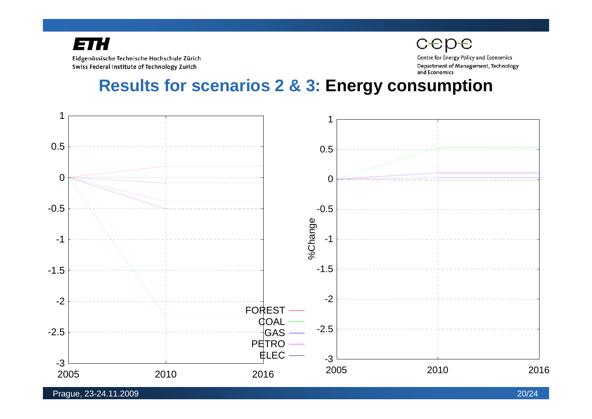![](_page_19_Picture_0.jpeg)

**Centre for Energy Policy and Economics** Department of Management, Technology and Economics

cepe

**Results for scenarios 2 & 3: Energy consumption**

![](_page_19_Figure_4.jpeg)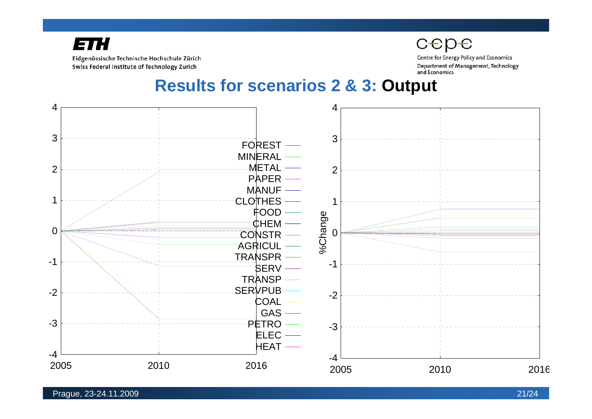![](_page_20_Picture_0.jpeg)

Eidgenössische Technische Hochschule Zürich Swiss Federal Institute of Technology Zurich

**Centre for Energy Policy and Economics** Department of Management, Technology and Economics

#### **Results for scenarios 2 & 3: Output**

![](_page_20_Figure_5.jpeg)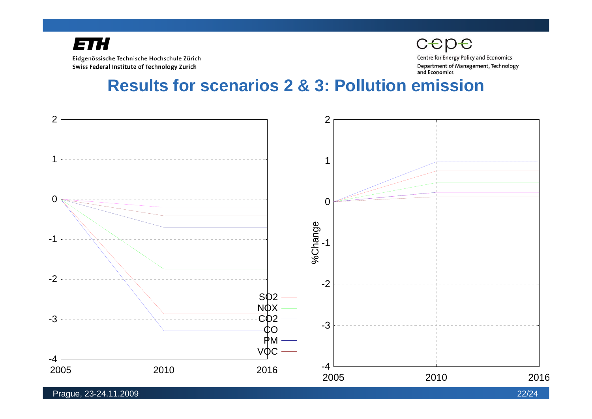![](_page_21_Picture_0.jpeg)

cepe

**Centre for Energy Policy and Economics** Department of Management, Technology and Economics

#### **Results for scenarios 2 & 3: Pollution emission**

![](_page_21_Figure_5.jpeg)

Prague, 23-24.11.2009 22/24

![](_page_21_Picture_7.jpeg)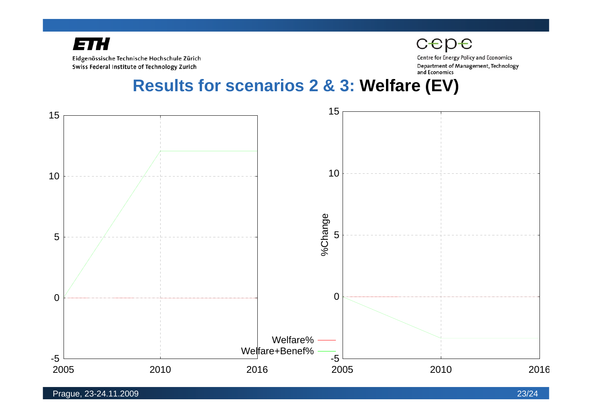![](_page_22_Picture_0.jpeg)

Eidgenössische Technische Hochschule Zürich Swiss Federal Institute of Technology Zurich

**Centre for Energy Policy and Economics** Department of Management, Technology and Economics

**Results for scenarios 2 & 3: Welfare (EV)** 

![](_page_22_Figure_5.jpeg)